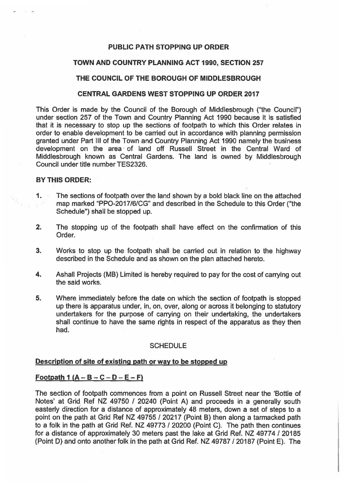### **PUBLIC PATH STOPPING UP ORDER**

### **TOWN AND COUNTRY PLANNING ACT 1990, SECTION 257**

## **THE COUNCIL OF THE BOROUGH OF MIDDLESBROUGH**

#### **CENTRAL GARDENS WEST STOPPING UP ORDER 2017**

This Order is made by the Council of the Borough of Middlesbrough ("the Council'') under section 257 of the Town and Country Planning Act 1990 because it is satisfied that it is necessary to stop up the sections of footpath to which this Order relates in order to enable development to be carried out in accordance with planning permission granted under Part Ill of the Town and Country Planning Act 1990 namely the business development on the area of land off Russell Street in the Central Ward of Middlesbrough known as Central Gardens. The land is owned by Middlesbrough Council under title number TES2326.

#### **BY THIS ORDER:**

- 1. The sections of footpath over the land shown by a bold black line on the attached map marked "PPO-2017 /6/CG" and described in the Schedule to this Order ("the Schedule") shall be stopped up.
- 2. The stopping up of the footpath shall have effect on the confirmation of this Order.
- 3. Works to stop up the footpath shall be carried out in relation to the highway described in the Schedule and as shown on the plan attached hereto.
- **4.** Ashall Projects {MB) Limited is hereby required to pay for the cost of carrying out the said works.
- 5. Where immediately before the date on which the section of footpath is stopped up there is apparatus under, in, on, over, along or across it belonging to statutory undertakers for the purpose of carrying on their undertaking, the undertakers shall continue to have the same rights in respect of the apparatus as they then had.

#### **SCHEDULE**

# **Description of site of existing path or way to be stopped up**

# $F_{\text{o}o}$  **Footpath 1 (A – B – C – D – E – F)**

The section of footpath commences from a point on Russell Street near the 'Bottle of Notes' at Grid Ref NZ 49750 / 20240 (Point A) and proceeds in a generally south easterly direction for a distance of approximately 48 meters, down a set of steps to a point on the path at Grid Ref NZ 49755 / 20217 (Point 8) then along a tarmacked path to a folk in the path at Grid Ref. NZ 49773 / 20200 (Point C). The path then continues for a distance of approximately 30 meters past the lake at Grid Ref. NZ 49774 / 20185 (Point D) and onto another folk in the path at Grid Ref. NZ 49787 I 20187 (Point E). The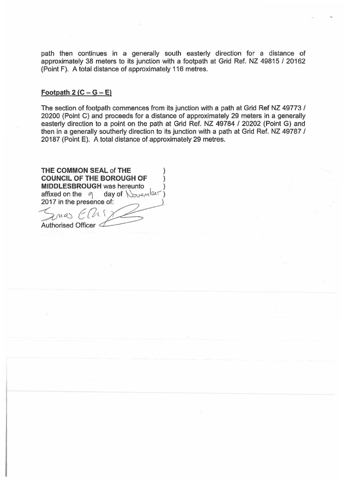path then continues in a generally south easterly direction for a distance of approximately 38 meters to its junction with a footpath at Grid Ref. NZ 49815 / 20162 (Point F). A total distance of approximately 116 metres.

#### Footpath  $2 (C - G - E)$

The section of footpath commences from its junction with a path at Grid Ref NZ 49773 / 20200 (Point C) and proceeds for a distance of approximately 29 meters in a generally easterly direction to a point on the path at Grid Ref. NZ 49784 / 20202 (Point G) and then in a generally southerly direction to its junction with a path at Grid Ref. NZ 49787 / 20187 (Point E). A total distance of approximately 29 metres.

**THE COMMON SEAL of THE COUNCIL OF THE BOROUGH OF** ) **MIDDLESBROUGH was hereunto** affixed on the  $q$  day of  $\sqrt{M^2}$ 2017 in the presence of:  $\zeta$ mas Ellix Authorised Officer  $\leq$